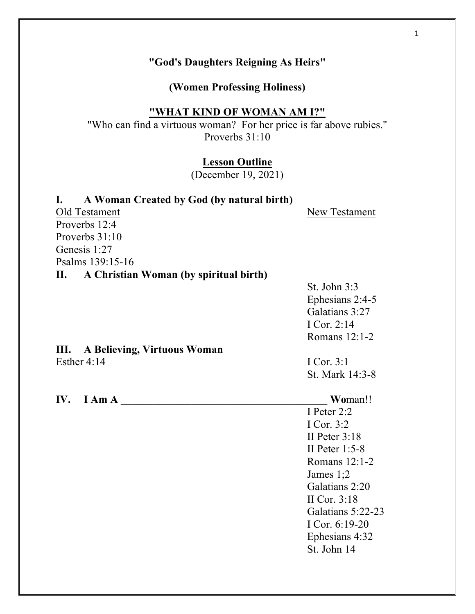#### 1

# **"God's Daughters Reigning As Heirs"**

**(Women Professing Holiness)**

## **"WHAT KIND OF WOMAN AM I?"**

"Who can find a virtuous woman? For her price is far above rubies." Proverbs 31:10

### **Lesson Outline**

(December 19, 2021)

# **I. A Woman Created by God (by natural birth)** Old Testament New Testament Proverbs 12:4 Proverbs 31:10 Genesis 1:27 Psalms 139:15-16 **II. A Christian Woman (by spiritual birth)** St. John 3:3 Ephesians 2:4-5 Galatians 3:27 I Cor. 2:14 Romans 12:1-2 **III. A Believing, Virtuous Woman** Esther 4:14 I Cor. 3:1 St. Mark 14:3-8 **IV. I Am A \_\_\_\_\_\_\_\_\_\_\_\_\_\_\_\_\_\_\_\_\_\_\_\_\_\_\_\_\_\_\_\_\_\_\_\_\_\_ Wo**man!! I Peter 2:2 I Cor. 3:2 II Peter 3:18 II Peter 1:5-8 Romans 12:1-2 James 1;2 Galatians 2:20 II Cor. 3:18 Galatians 5:22-23 I Cor. 6:19-20 Ephesians 4:32 St. John 14